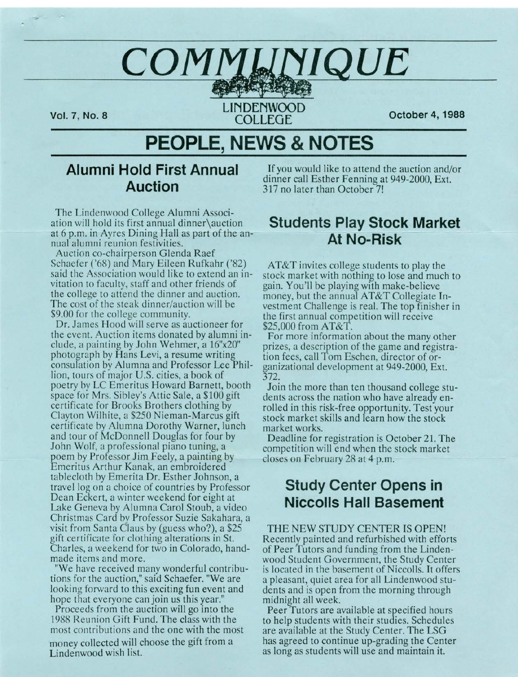# $COMM$  **WAD**

**Vol. 7, No. 8**<br>**LINDENWOOD COLLEGE** 

**COLLEGE October 4, 1988** 

# **PEOPLE, NEWS & NOTES**

# **Alumni Hold First Annual Auction**

The Lindenwood College Alumni Association will hold its first annual dinner\auction at 6 p.m. in Ayres Dining Hall as part of the annual alumni reunion festivities.

Auction co-chairperson Glenda Raef Schaefer ('68) and Mary Eileen Rufkahr ('82) said the Association would like to extend an invitation to faculty, staff and other friends of the college to attend the dinner and auction. The cost of the steak dinner/auction will be \$9.00 for the college community.

Dr. James Hood will serve as auctioneer for the event. Auction items donated by alumni include, a painting by John Wehmer, a 16"x20" photograph by Hans Levi, a resume writing consulation by Alumna and Professor Lee Phillion, tours of major U.S. cities, a book of poetry by LC Emeritus Howard Barnett, booth space for Mrs. Sibley's Attic Sale, a \$100 gift certificate for Brooks Brothers clothing by Clayton Wilhite, a \$250 Nieman-Marcus gift certificate by Alumna Dorothy Warner, lunch and tour of McDonnell Douglas for four by John Wolf, a professional piano tuning, a poem by Professor Jim Feely, a painting by Emeritus Arthur Kanak, an embroidered tablecloth by Emerita Dr. Esther Johnson, a travel log on a choice of countries by Professor Dean Eckert, a winter weekend for eight at Lake Geneva by Alumna Carol Stoub, a video Christmas Card by Professor Suzie Sakahara, a visit from Santa Claus by (guess who?), a \$25 gift certificate for clothing alterations in St. Charles, a weekend for two in Colorado, handmade items and more.

"We have received many wonderful contributions for the auction," said Schaefer. "We are looking forward to this exciting fun event and hope that everyone can join us this year."

Proceeds from the auction will go into the 1988 Reunion Gift Fund. The class with the most contributions and the one with the most money collected will choose the gift from a Lindenwood wish list.

If you would like to attend the auction and/or dinner call Esther Fenning at 949-2000, Ext. 317 no later than October 7!

# **Students Play Stock Market At No-Risk-**

AT&T invites college students to play the stock market with nothing to lose and much to gain. You'll be playing with make-believe money, but the annual AT&T Collegiate Investment Challenge is real. The top finisher in the first annual competition will receive \$25,000 from AT&T.

For more information about the many other prizes, a description of the game and registration fees, call Tom Eschen, director of organizational development at 949-2000, Ext. 372.

Join the more than ten thousand college students across the nation who have already enrolled in this risk-free opportunity. Test your stock market skills and learn how the stock market works.

Deadline for registration is October 21. The competition will end when the stock market closes on February 28 at 4 p.m.

# **Study Center Opens in Niccolls Hall Basement**

THE NEW STUDY CENTER IS OPEN! Recently painted and refurbished with efforts of Peer Tutors and funding from the Lindenwood Student Government, the Study Center is located in the basement of Niccolls. It offers a pleasant, quiet area for all Lindenwood students and is open from the morning through midnight all week.

Peer Tutors are available at specified hours to help students with their studies. Schedules are available at the Study Center. The LSG has agreed to continue up-grading the Center as long as students will use and maintain it.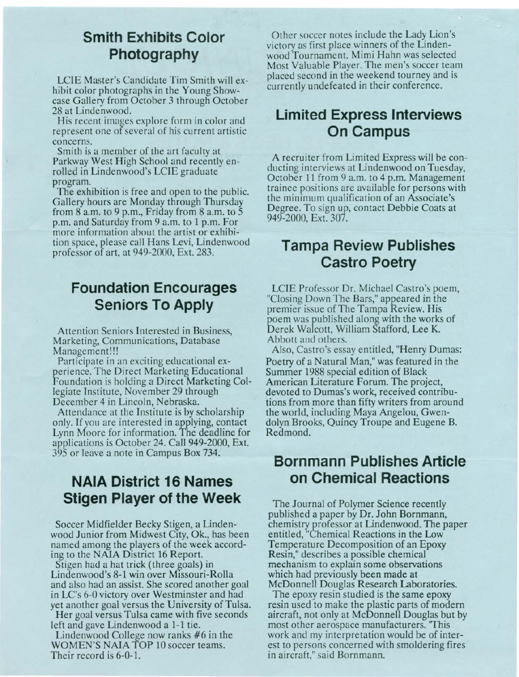# **Smith Exhibits Color Photography**

LCIE Master's Candidate Tim Smith will exhibit color photographs in the Young Showcase Gallery from October 3 through October 28 at Lindenwood.

His recent images explore form in color and represent one of several of his current artistic concerns.

Smith is a member of the art faculty at Parkway West High School and recently enrolled in Lindenwood's LCIE graduate program.

The exhibition is free and open to the public. Gallery hours are Monday through Thursday from 8 a.m. to 9 p.m., Friday from 8 a.m. to 5 p.m. and Saturday from 9 a.m. to 1 p.m. For more information about the artist or exhibition space, please call Hans Levi, Lindenwood professor of art, at 949-2000, Ext. 283.

# **Foundation Encourages Seniors To Apply**

Attention Seniors Interested in Business, Marketing, Communications, Database Management!!!

Participate in an exciting educational experience. The Direct Marketing Educational Foundation is holding a Direct Marketing Collegiate Institute, November 29 through December 4 in Lincoln, Nebraska.

Attendance at the Institute is by scholarship only. If you are interested in applying, contact Lynn Moore for information. The deadline for applications is October 24. Call 949-2000, Ext. 395 or leave a note in Campus Box 734.

# **NAIA District 16 Names Stigen Player of the Week**

Soccer Midfielder Becky Stigen, a Lindenwood Junior from Midwest City, Ok., has been named among the players of the week according to the NAIA District 16 Report.

Stigen had a hat trick (three goals) in Lindenwood's 8-1 win over Missouri-Rolla and also had an assist. She scored another goal in LC's 6-0 victory over Westminster and had yet another goal versus the University of Tulsa.

Her goal versus Tulsa came with five seconds left and gave Lindenwood a 1-1 tie.

Lindenwood College now ranks #6 in the WOMEN'S NAIA TOP 10 soccer teams. Their record is 6-0-1.

Other soccer notes include the Lady Lion's victory as first place winners of the Lindenwood Tournament. Mimi Hahn was selected Most Valuable Player. The men's soccer team placed second in the weekend tourney and is currently undefeated in their conference.

# **Limited Express Interviews On Campus**

A recruiter from Limited Express will be conducting interviews at Lindenwood on Tuesday, October 11 from 9 a.m. to 4 p.m. Management trainee positions are available for persons with the minimum qualification of an Associate's Degree. To sign up, contact Debbie Coats at 949-2000, Ext. 307.

# **Tampa Review Publishes Castro Poetry**

LCIE Professor Dr. Michael Castro's poem, "Closing Down The Bars," appeared in the premier issue of The Tampa Review. His poem was published along with the works of Derek Walcott, William Stafford, Lee K. Abbott and others.

Also, Castro's essay entitled, "Henry Dumas: Poetry of a Natural Man," was featured in the Summer 1988 special edition of Black American Literature Forum. The project, devoted to Dumas's work, received contributions from more than fifty writers from around the world, including Maya Angelou, Gwendolyn Brooks, Quincy Troupe and Eugene B. Redmond.

## **Bornmann Publishes Article on Chemical Reactions**

The Journal of Polymer Science recently published a paper by Dr. John Bornmann, chemistry professor at Lindenwood. The paper entitled, "Chemical Reactions in the Low Temperature Decomposition of an Epoxy Resin," describes a possible chemical mechanism to explain some observations which had previously been made at McDonnell Douglas Research Laboratories.

The epoxy resin studied is the same epoxy resin used to make the plastic parts of modern aircraft, not only at McDonnell Douglas but by most other aerospace manufacturers. ''This work and my interpretation would be of interest to persons concerned with smoldering fires in aircraft," said Bornmann.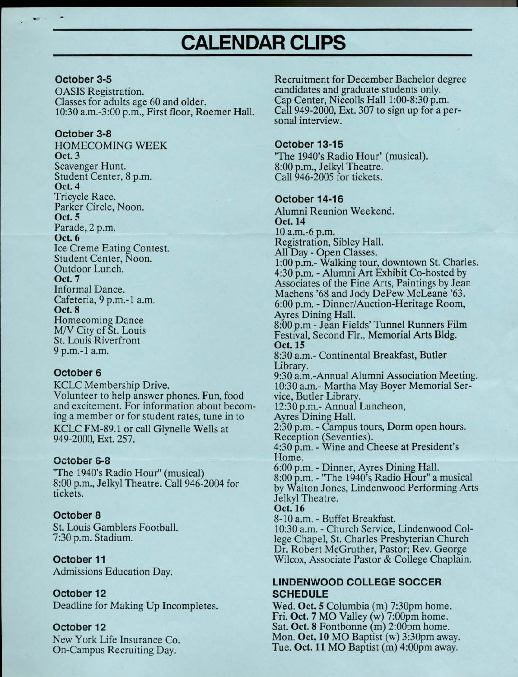# **CALENDAR CLIPS**

#### **October 3-5**

OASIS Registration. Classes for adults age 60 and older. 10:30 a.m.-3:00 p.m., First floor, Roemer Hall.

#### **October 3-8**

HOMECOMING WEEK Oct. 3 Scavenger Hunt. Student Center, 8 p.m. **Oct.4**  Tricycle Race. Parker Circle, Noon. **Oct. 5**  Parade, 2 p.m. **Oct. 6**  Ice Creme Eating Contest. Student Center, Noon. Outdoor Lunch. Oct. 7 Informal Dance. Cafeteria, 9 p.m.-1 a.m. **Oct. 8**  Homecoming Dance M/V City of St. Louis St. Louis Riverfront 9 p.m.-1 a.m.

#### **October 6**

KCLC Membership Drive. Volunteer to help answer phones. Fun, food and excitement. For information about becoming a member or for student rates, tune in to KCLC FM-89.1 or call Glynelle Wells at 949-2000, Ext. 257.

#### **October 6-8**

'The 1940's Radio Hour" (musical) 8:00 p.m., Jelkyl Theatre. Call 946-2004 for tickets.

#### **October 8**

St. Louis Gamblers Football. 7:30 p.m. Stadium.

**October 11**  Admissions Education Day.

#### **October 12**

Deadline for Making Up Incompletes.

#### **October 12**

New York Life Insurance Co. On-Campus Recruiting Day.

Recruitment for December Bachelor degree candidates and graduate students only. Cap Center, Niccolls Hall 1:00-8:30 p.m. Call 949-2000, Ext. 307 to sign up for a personal interview.

#### **October 13-15**

"The 1940's Radio Hour" (musical). 8:00 p.m., Jelkyl Theatre. Call 946-2005 for tickets.

#### **October 14-16**

Alumni Reunion Weekend. **Oct.14**  10 a.m.-6 p.m. Registration, Sibley Hall. All Day - Open Classes. 1:00 p.m.- Walking tour, downtown St. Charles. 4:30 p.m. - Alumru Art Exhibit Co-hosted by Associates of the Fine Arts, Paintings by Jean Machens '68 and Jody DePew McLeane '63. 6:00 p.m. - Dinner/Auction-Heritage Room, Ayres Dining Hall. 8:00 p.m - Jean Fields' Tunnel Runners Film Festival, Second Flr., Memorial Arts Bldg. **Oct.15**  8:30 a.m.- Continental Breakfast, Butler Library. 9:30 a.m.-Annual Alumni Association Meeting. 10:30 a.m.- Martha May Boyer Memorial Service, Butler Library. 12:30 p.m.- Annual Luncheon, Ayres Dining Hall. 2:30 p.m. - Campus tours, Dorm open hours. Reception (Seventies). 4:30 p.m. - Wine and Cheese at President's Home. 6:00 p.m. - Dinner, Ayres Dining Hall. 8:00 p.m. - ''The 1940's Radio Hour" a musical by Walton Jones, Lindenwood Performing Arts Jelkyl Theatre. **Oct.16**  8-10 a.m. - Buffet Breakfast. 10:30 a.m. - Church Service, Lindenwood College Chapel, St. Charles Presbyterian Church Dr. Robert McGruther, Pastor; Rev. George

#### **LINDENWOOD COLLEGE SOCCER SCHEDULE**

Wilcox, Associate Pastor & College Chaplain.

Wed. **Oct. 5** Columbia (m) 7:30pm home. Fri. **Oct. 7** MO Valley (w) 7:00pm home. Sat. **Oct. 8** Fontbonne (m) 2:00pm home. Mon. **Oct. 10** MO Baptist (w) 3:30pm away. Tue. **Oct. 11** MO Baptist (m) 4:00pm away.